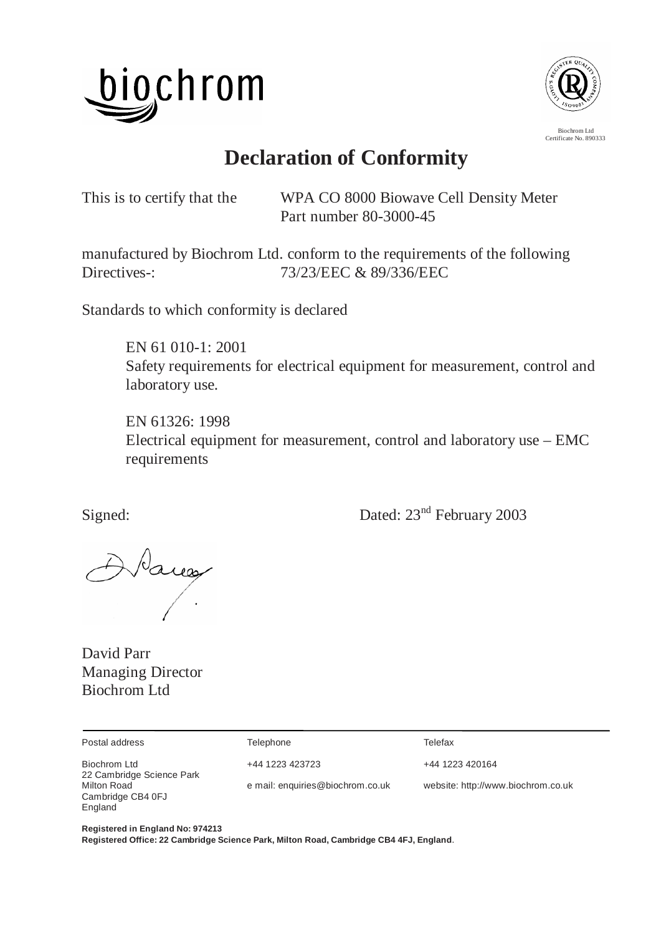



Certificate No. 890333

**Declaration of Conformity** 

This is to certify that the WPA CO 8000 Biowave Cell Density Meter Part number 80-3000-45

manufactured by Biochrom Ltd. conform to the requirements of the following Directives-: 73/23/EEC & 89/336/EEC

Standards to which conformity is declared

 EN 61 010-1: 2001 Safety requirements for electrical equipment for measurement, control and laboratory use.

 EN 61326: 1998 Electrical equipment for measurement, control and laboratory use – EMC requirements

Signed: Dated:  $23<sup>nd</sup>$  February 2003

DVarea

David Parr Managing Director Biochrom Ltd

| Postal address                              | Telephone                        | Telefax                            |
|---------------------------------------------|----------------------------------|------------------------------------|
| Biochrom Ltd<br>22 Cambridge Science Park   | +44 1223 423723                  | +44 1223 420164                    |
| Milton Road<br>Cambridge CB4 0FJ<br>England | e mail: enquiries@biochrom.co.uk | website: http://www.biochrom.co.uk |

**Registered in England No: 974213 Registered Office: 22 Cambridge Science Park, Milton Road, Cambridge CB4 4FJ, England**.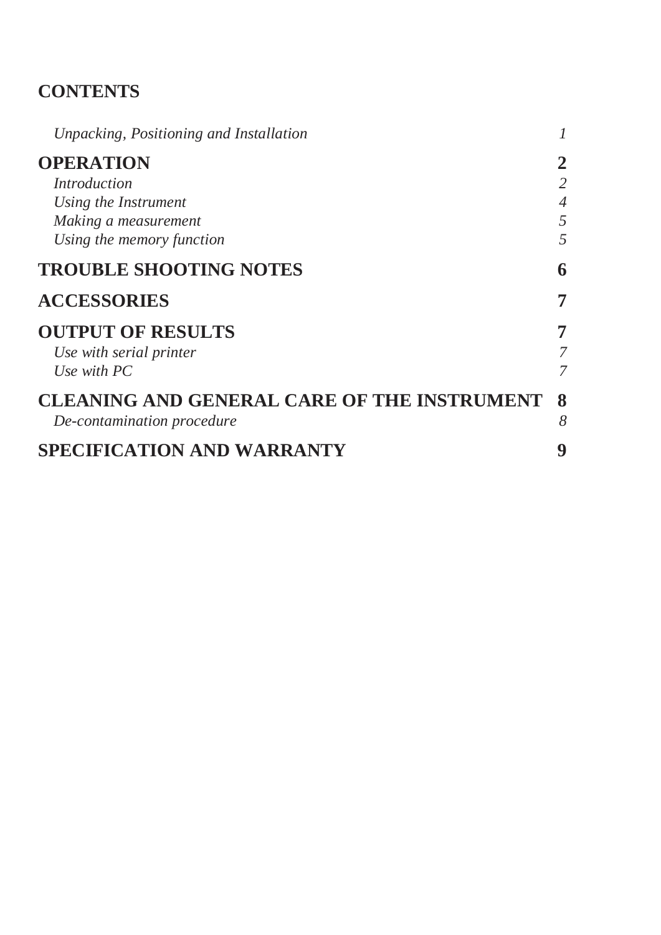## **CONTENTS**

| Unpacking, Positioning and Installation            |                |
|----------------------------------------------------|----------------|
| <b>OPERATION</b>                                   | 2              |
| <i>Introduction</i>                                | 2              |
| Using the Instrument                               | $\overline{4}$ |
| Making a measurement                               | 5              |
| Using the memory function                          | 5              |
| <b>TROUBLE SHOOTING NOTES</b>                      | 6              |
| <b>ACCESSORIES</b>                                 | 7              |
| <b>OUTPUT OF RESULTS</b>                           | 7              |
| Use with serial printer                            |                |
| Use with $PC$                                      | 7              |
| <b>CLEANING AND GENERAL CARE OF THE INSTRUMENT</b> | 8              |
| De-contamination procedure                         | 8              |
| <b>SPECIFICATION AND WARRANTY</b>                  | 9              |
|                                                    |                |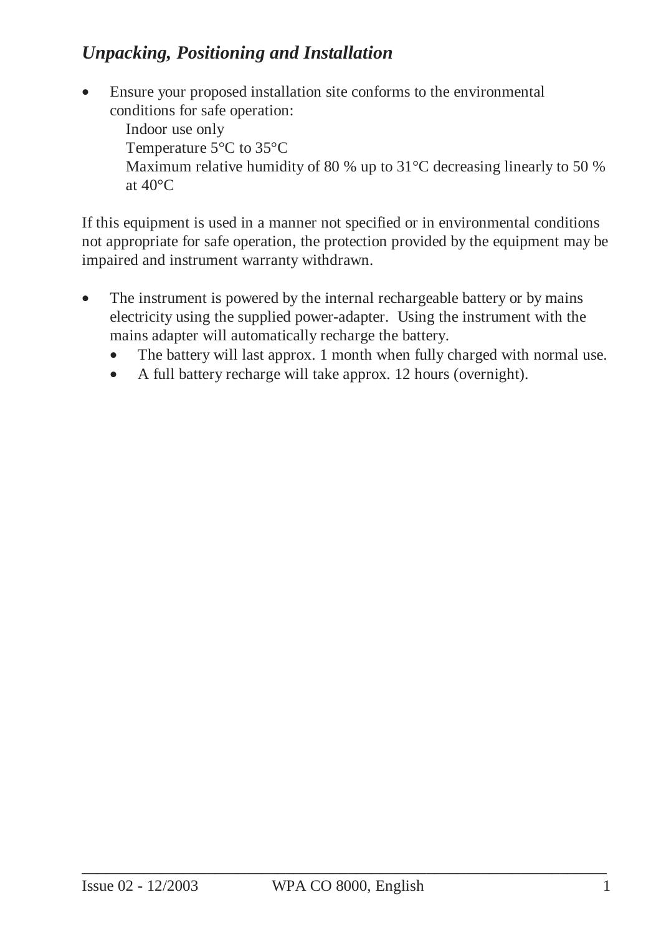## *Unpacking, Positioning and Installation*

• Ensure your proposed installation site conforms to the environmental conditions for safe operation:

Indoor use only Temperature 5°C to 35°C Maximum relative humidity of 80 % up to 31 °C decreasing linearly to 50 % at 40°C

If this equipment is used in a manner not specified or in environmental conditions not appropriate for safe operation, the protection provided by the equipment may be impaired and instrument warranty withdrawn.

- The instrument is powered by the internal rechargeable battery or by mains electricity using the supplied power-adapter. Using the instrument with the mains adapter will automatically recharge the battery.
	- The battery will last approx. 1 month when fully charged with normal use.
	- A full battery recharge will take approx. 12 hours (overnight).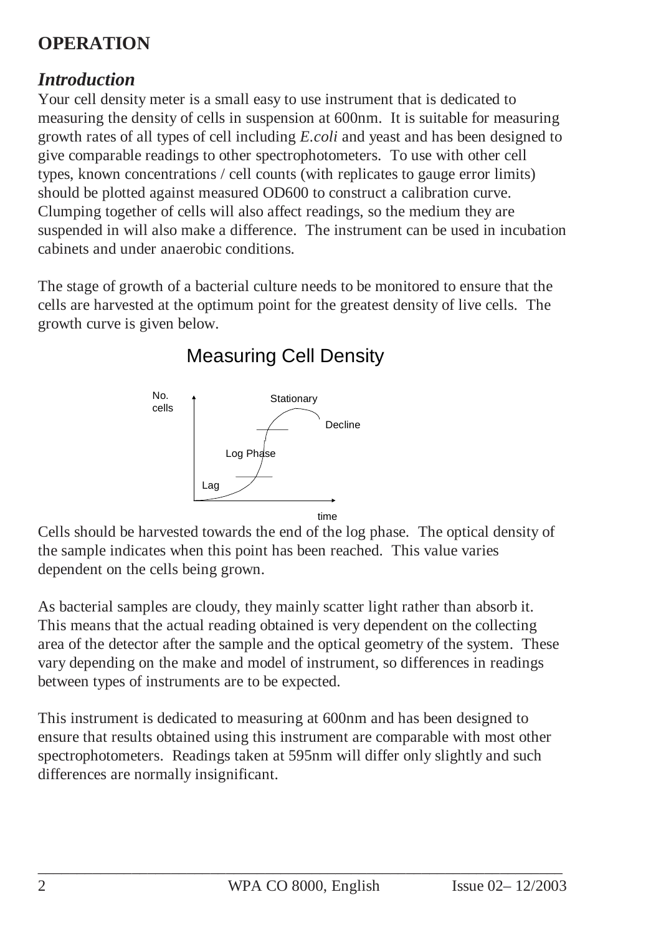# **OPERATION**

### *Introduction*

Your cell density meter is a small easy to use instrument that is dedicated to measuring the density of cells in suspension at 600nm. It is suitable for measuring growth rates of all types of cell including *E.coli* and yeast and has been designed to give comparable readings to other spectrophotometers. To use with other cell types, known concentrations / cell counts (with replicates to gauge error limits) should be plotted against measured OD600 to construct a calibration curve. Clumping together of cells will also affect readings, so the medium they are suspended in will also make a difference. The instrument can be used in incubation cabinets and under anaerobic conditions.

The stage of growth of a bacterial culture needs to be monitored to ensure that the cells are harvested at the optimum point for the greatest density of live cells. The growth curve is given below.



# Measuring Cell Density

Cells should be harvested towards the end of the log phase. The optical density of the sample indicates when this point has been reached. This value varies dependent on the cells being grown.

As bacterial samples are cloudy, they mainly scatter light rather than absorb it. This means that the actual reading obtained is very dependent on the collecting area of the detector after the sample and the optical geometry of the system. These vary depending on the make and model of instrument, so differences in readings between types of instruments are to be expected.

This instrument is dedicated to measuring at 600nm and has been designed to ensure that results obtained using this instrument are comparable with most other spectrophotometers. Readings taken at 595nm will differ only slightly and such differences are normally insignificant.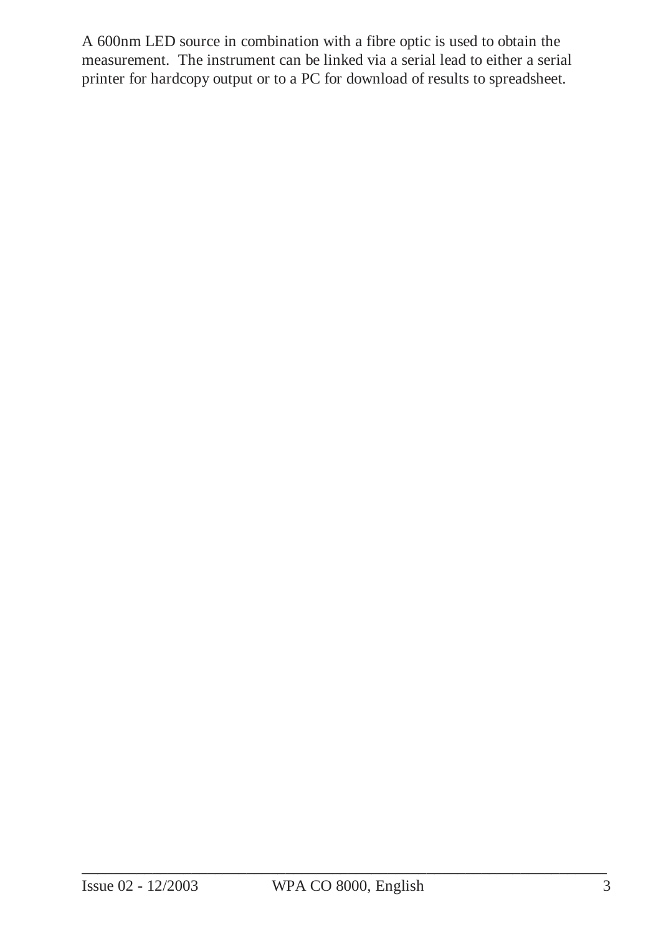A 600nm LED source in combination with a fibre optic is used to obtain the measurement. The instrument can be linked via a serial lead to either a serial printer for hardcopy output or to a PC for download of results to spreadsheet.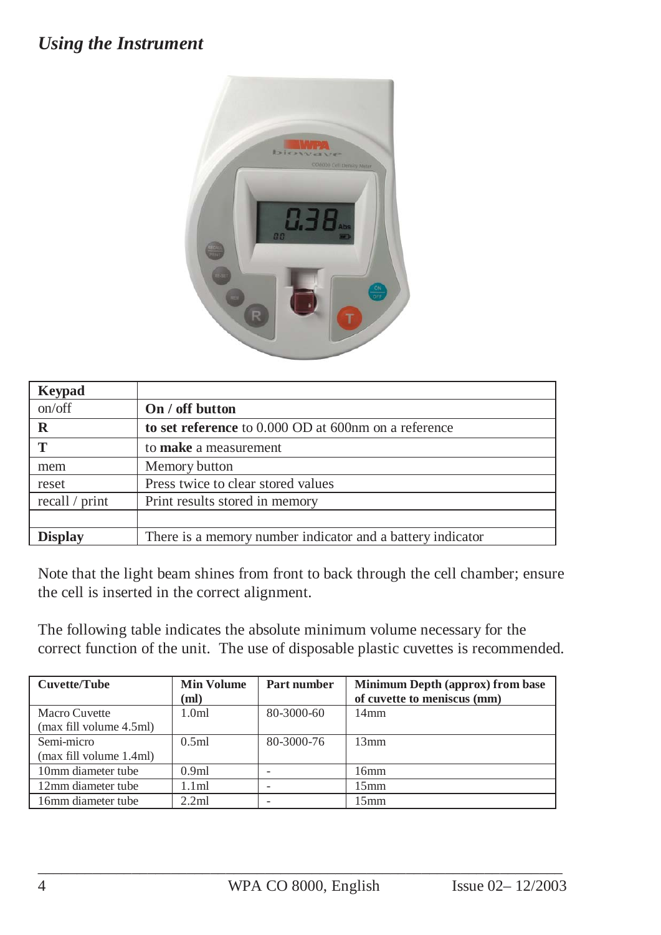### *Using the Instrument*



| <b>Keypad</b>  |                                                            |
|----------------|------------------------------------------------------------|
| on/off         | On / off button                                            |
| $\mathbf R$    | to set reference to 0.000 OD at 600nm on a reference       |
| T              | to make a measurement                                      |
| mem            | Memory button                                              |
| reset          | Press twice to clear stored values                         |
| recall / print | Print results stored in memory                             |
|                |                                                            |
| <b>Display</b> | There is a memory number indicator and a battery indicator |

Note that the light beam shines from front to back through the cell chamber; ensure the cell is inserted in the correct alignment.

The following table indicates the absolute minimum volume necessary for the correct function of the unit. The use of disposable plastic cuvettes is recommended.

| <b>Cuvette/Tube</b>     | <b>Min Volume</b> | Part number | <b>Minimum Depth (approx) from base</b> |
|-------------------------|-------------------|-------------|-----------------------------------------|
|                         | (ml)              |             | of cuvette to meniscus (mm)             |
| Macro Cuvette           | 1.0 <sub>m1</sub> | 80-3000-60  | $14 \text{mm}$                          |
| (max fill volume 4.5ml) |                   |             |                                         |
| Semi-micro              | 0.5ml             | 80-3000-76  | $13 \text{mm}$                          |
| (max fill volume 1.4ml) |                   |             |                                         |
| 10mm diameter tube      | 0.9ml             |             | 16mm                                    |
| 12mm diameter tube      | 1.1ml             |             | 15mm                                    |
| 16mm diameter tube      | 2.2ml             |             | 15mm                                    |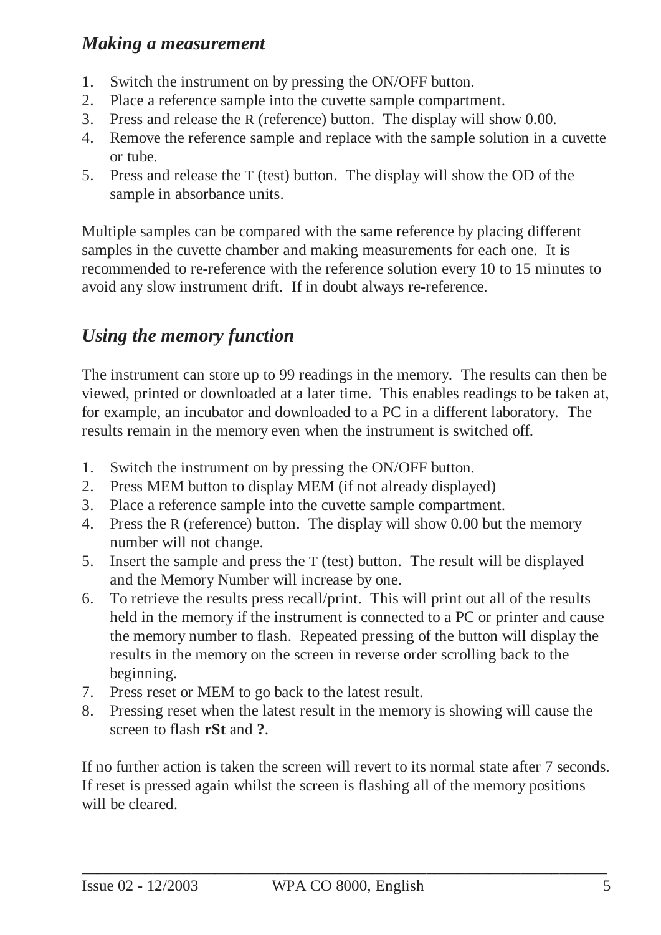### *Making a measurement*

- 1. Switch the instrument on by pressing the ON/OFF button.
- 2. Place a reference sample into the cuvette sample compartment.
- 3. Press and release the R (reference) button. The display will show 0.00.
- 4. Remove the reference sample and replace with the sample solution in a cuvette or tube.
- 5. Press and release the T (test) button. The display will show the OD of the sample in absorbance units.

Multiple samples can be compared with the same reference by placing different samples in the cuvette chamber and making measurements for each one. It is recommended to re-reference with the reference solution every 10 to 15 minutes to avoid any slow instrument drift. If in doubt always re-reference.

### *Using the memory function*

The instrument can store up to 99 readings in the memory. The results can then be viewed, printed or downloaded at a later time. This enables readings to be taken at, for example, an incubator and downloaded to a PC in a different laboratory. The results remain in the memory even when the instrument is switched off.

- 1. Switch the instrument on by pressing the ON/OFF button.
- 2. Press MEM button to display MEM (if not already displayed)
- 3. Place a reference sample into the cuvette sample compartment.
- 4. Press the R (reference) button. The display will show 0.00 but the memory number will not change.
- 5. Insert the sample and press the T (test) button. The result will be displayed and the Memory Number will increase by one.
- 6. To retrieve the results press recall/print. This will print out all of the results held in the memory if the instrument is connected to a PC or printer and cause the memory number to flash. Repeated pressing of the button will display the results in the memory on the screen in reverse order scrolling back to the beginning.
- 7. Press reset or MEM to go back to the latest result.
- 8. Pressing reset when the latest result in the memory is showing will cause the screen to flash **rSt** and **?**.

If no further action is taken the screen will revert to its normal state after 7 seconds. If reset is pressed again whilst the screen is flashing all of the memory positions will be cleared.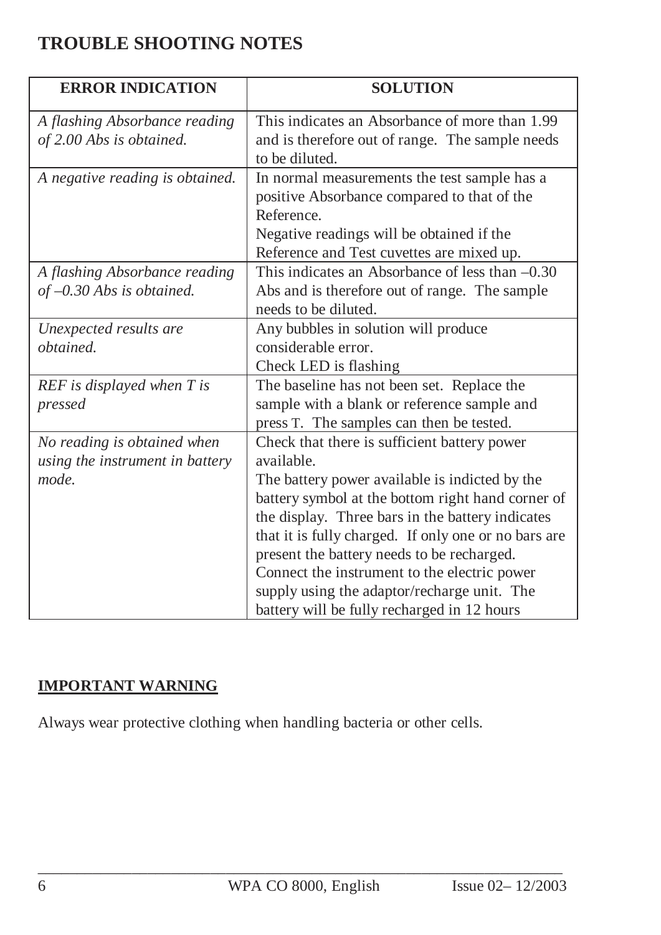## **TROUBLE SHOOTING NOTES**

| <b>ERROR INDICATION</b>         | <b>SOLUTION</b>                                      |
|---------------------------------|------------------------------------------------------|
| A flashing Absorbance reading   | This indicates an Absorbance of more than 1.99       |
| of 2.00 Abs is obtained.        | and is therefore out of range. The sample needs      |
|                                 | to be diluted.                                       |
| A negative reading is obtained. | In normal measurements the test sample has a         |
|                                 | positive Absorbance compared to that of the          |
|                                 | Reference.                                           |
|                                 | Negative readings will be obtained if the            |
|                                 | Reference and Test cuvettes are mixed up.            |
| A flashing Absorbance reading   | This indicates an Absorbance of less than $-0.30$    |
| of $-0.30$ Abs is obtained.     | Abs and is therefore out of range. The sample        |
|                                 | needs to be diluted.                                 |
| Unexpected results are          | Any bubbles in solution will produce                 |
| obtained.                       | considerable error.                                  |
|                                 | Check LED is flashing                                |
| REF is displayed when T is      | The baseline has not been set. Replace the           |
| pressed                         | sample with a blank or reference sample and          |
|                                 | press T. The samples can then be tested.             |
| No reading is obtained when     | Check that there is sufficient battery power         |
| using the instrument in battery | available.                                           |
| mode.                           | The battery power available is indicted by the       |
|                                 | battery symbol at the bottom right hand corner of    |
|                                 | the display. Three bars in the battery indicates     |
|                                 | that it is fully charged. If only one or no bars are |
|                                 | present the battery needs to be recharged.           |
|                                 | Connect the instrument to the electric power         |
|                                 | supply using the adaptor/recharge unit. The          |
|                                 | battery will be fully recharged in 12 hours          |

#### **IMPORTANT WARNING**

Always wear protective clothing when handling bacteria or other cells.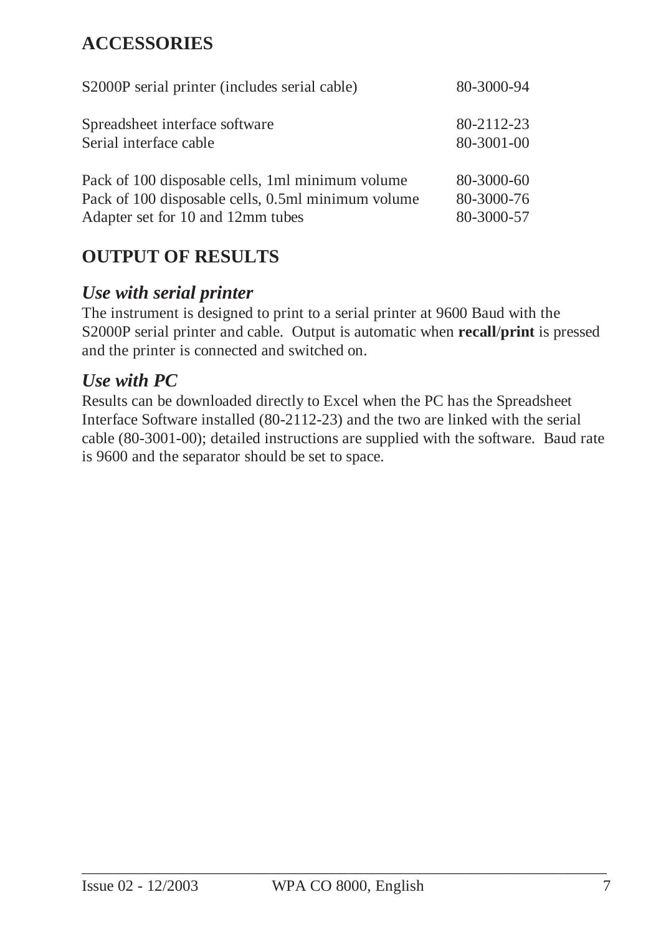## **ACCESSORIES**

| S2000P serial printer (includes serial cable)      | 80-3000-94 |
|----------------------------------------------------|------------|
| Spreadsheet interface software                     | 80-2112-23 |
| Serial interface cable                             | 80-3001-00 |
| Pack of 100 disposable cells, 1ml minimum volume   | 80-3000-60 |
| Pack of 100 disposable cells, 0.5ml minimum volume | 80-3000-76 |
| Adapter set for 10 and 12mm tubes                  | 80-3000-57 |

### **OUTPUT OF RESULTS**

#### *Use with serial printer*

The instrument is designed to print to a serial printer at 9600 Baud with the S2000P serial printer and cable. Output is automatic when **recall**/**print** is pressed and the printer is connected and switched on.

### *Use with PC*

Results can be downloaded directly to Excel when the PC has the Spreadsheet Interface Software installed (80-2112-23) and the two are linked with the serial cable (80-3001-00); detailed instructions are supplied with the software. Baud rate is 9600 and the separator should be set to space.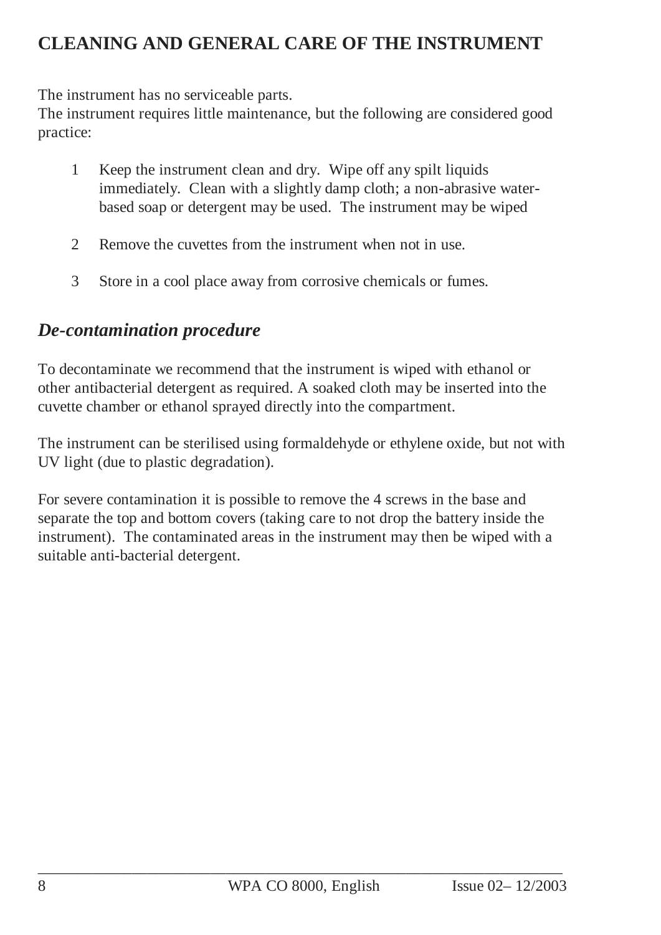## **CLEANING AND GENERAL CARE OF THE INSTRUMENT**

The instrument has no serviceable parts.

The instrument requires little maintenance, but the following are considered good practice:

- 1 Keep the instrument clean and dry. Wipe off any spilt liquids immediately. Clean with a slightly damp cloth; a non-abrasive waterbased soap or detergent may be used. The instrument may be wiped
- 2 Remove the cuvettes from the instrument when not in use.
- 3 Store in a cool place away from corrosive chemicals or fumes.

## *De-contamination procedure*

To decontaminate we recommend that the instrument is wiped with ethanol or other antibacterial detergent as required. A soaked cloth may be inserted into the cuvette chamber or ethanol sprayed directly into the compartment.

The instrument can be sterilised using formaldehyde or ethylene oxide, but not with UV light (due to plastic degradation).

For severe contamination it is possible to remove the 4 screws in the base and separate the top and bottom covers (taking care to not drop the battery inside the instrument). The contaminated areas in the instrument may then be wiped with a suitable anti-bacterial detergent.